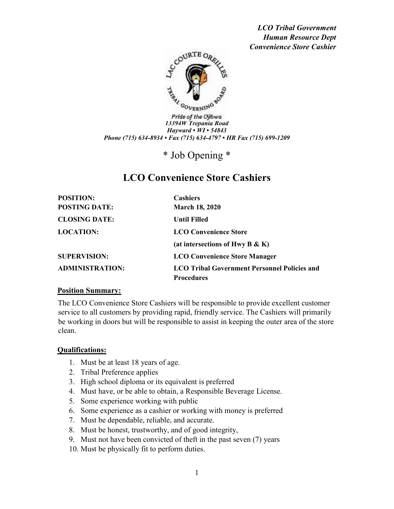*LCO Tribal Government Human Resource Dept Convenience Store Cashier* 



Pride of the Ojibwa *13394W Trepania Road Hayward • WI • 54843 Phone (715) 634-8934 • Fax (715) 634-4797 • HR Fax (715) 699-1209*

\* Job Opening \*

# **LCO Convenience Store Cashiers**

| <b>POSITION:</b>       | <b>Cashiers</b>                                     |
|------------------------|-----------------------------------------------------|
| <b>POSTING DATE:</b>   | <b>March 18, 2020</b>                               |
| <b>CLOSING DATE:</b>   | Until Filled                                        |
| <b>LOCATION:</b>       | <b>LCO Convenience Store</b>                        |
|                        | (at intersections of Hwy B $\&$ K)                  |
| <b>SUPERVISION:</b>    | <b>LCO Convenience Store Manager</b>                |
| <b>ADMINISTRATION:</b> | <b>LCO Tribal Government Personnel Policies and</b> |
|                        | <b>Procedures</b>                                   |

#### **Position Summary:**

The LCO Convenience Store Cashiers will be responsible to provide excellent customer service to all customers by providing rapid, friendly service. The Cashiers will primarily be working in doors but will be responsible to assist in keeping the outer area of the store clean.

#### **Qualifications:**

- 1. Must be at least 18 years of age.
- 2. Tribal Preference applies
- 3. High school diploma or its equivalent is preferred
- 4. Must have, or be able to obtain, a Responsible Beverage License.
- 5. Some experience working with public
- 6. Some experience as a cashier or working with money is preferred
- 7. Must be dependable, reliable, and accurate.
- 8. Must be honest, trustworthy, and of good integrity,
- 9. Must not have been convicted of theft in the past seven (7) years
- 10. Must be physically fit to perform duties.